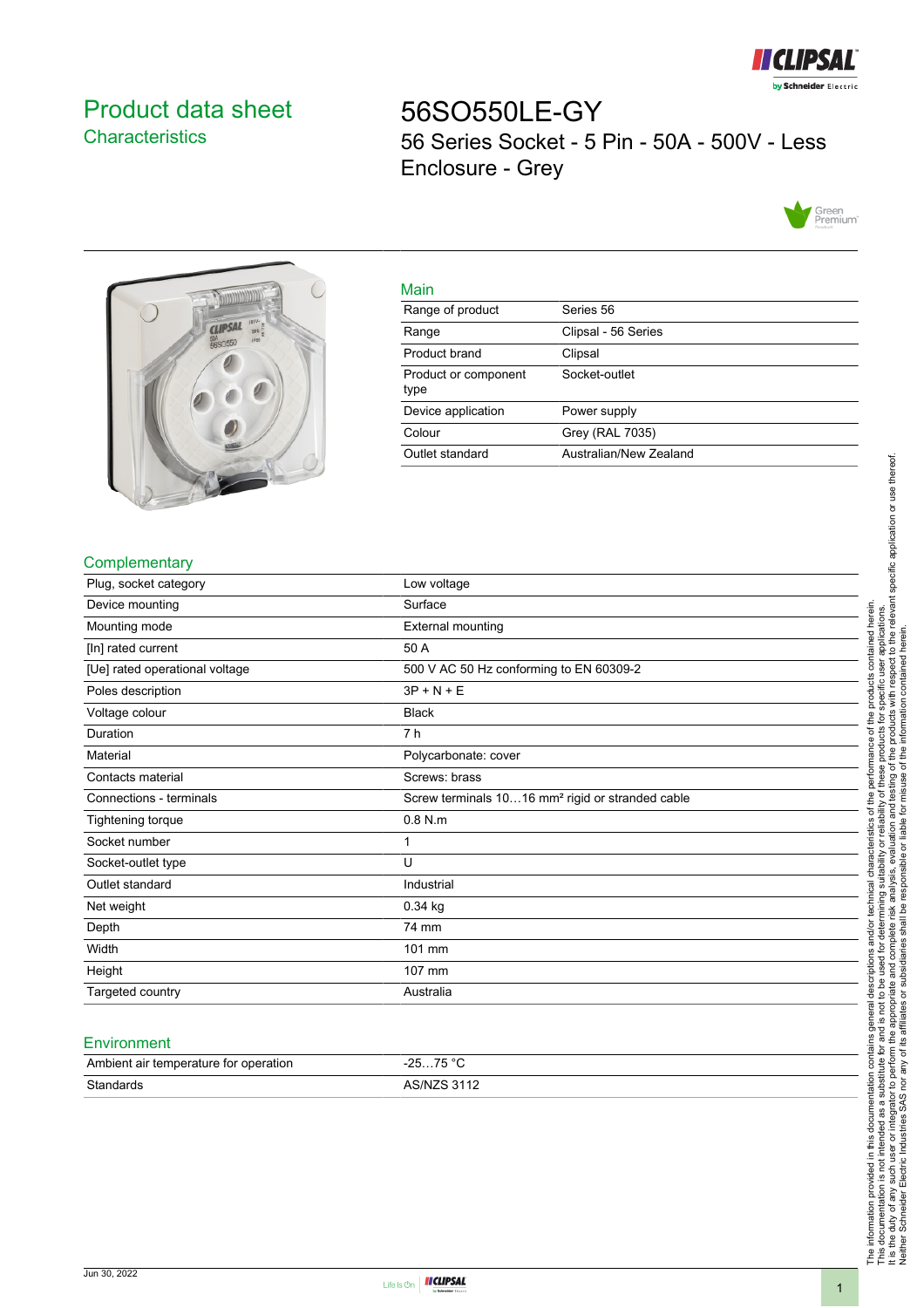

# <span id="page-0-0"></span>Product data sheet **Characteristics**

56SO550LE-GY 56 Series Socket - 5 Pin - 50A - 500V - Less Enclosure - Grey





|   | ٠ |
|---|---|
|   |   |
| × |   |
|   |   |

| ivialit                      |                        |
|------------------------------|------------------------|
| Range of product             | Series 56              |
| Range                        | Clipsal - 56 Series    |
| Product brand                | Clipsal                |
| Product or component<br>type | Socket-outlet          |
| Device application           | Power supply           |
| Colour                       | <b>Grey (RAL 7035)</b> |
| Outlet standard              | Australian/New Zealand |
|                              |                        |

## **Complementary**

| Plug, socket category          | Low voltage                                                  |
|--------------------------------|--------------------------------------------------------------|
| Device mounting                | Surface                                                      |
| Mounting mode                  | External mounting                                            |
| [In] rated current             | 50 A                                                         |
| [Ue] rated operational voltage | 500 V AC 50 Hz conforming to EN 60309-2                      |
| Poles description              | $3P + N + E$                                                 |
| Voltage colour                 | <b>Black</b>                                                 |
| Duration                       | 7 h                                                          |
| Material                       | Polycarbonate: cover                                         |
| Contacts material              | Screws: brass                                                |
| Connections - terminals        | Screw terminals 1016 mm <sup>2</sup> rigid or stranded cable |
| Tightening torque              | $0.8$ N.m                                                    |
| Socket number                  | 1                                                            |
| Socket-outlet type             | U                                                            |
| Outlet standard                | Industrial                                                   |
| Net weight                     | $0.34$ kg                                                    |
| Depth                          | 74 mm                                                        |
| Width                          | 101 mm                                                       |
| Height                         | 107 mm                                                       |
| Targeted country               | Australia                                                    |

#### **Environment**

| Ambient air temperature for operation | 75 °C<br>ว⊏<br>. <b>. ب</b><br><b>20</b> |
|---------------------------------------|------------------------------------------|
| Standards                             | <b>ARINIZR 3112</b>                      |